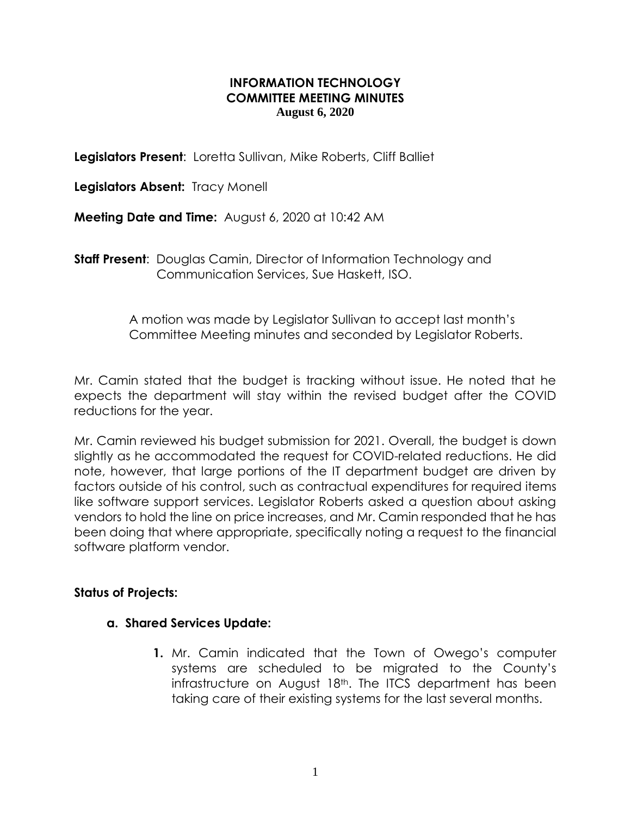### **INFORMATION TECHNOLOGY COMMITTEE MEETING MINUTES August 6, 2020**

**Legislators Present**: Loretta Sullivan, Mike Roberts, Cliff Balliet

**Legislators Absent:** Tracy Monell

**Meeting Date and Time:** August 6, 2020 at 10:42 AM

**Staff Present**: Douglas Camin, Director of Information Technology and Communication Services, Sue Haskett, ISO.

> A motion was made by Legislator Sullivan to accept last month's Committee Meeting minutes and seconded by Legislator Roberts.

Mr. Camin stated that the budget is tracking without issue. He noted that he expects the department will stay within the revised budget after the COVID reductions for the year.

Mr. Camin reviewed his budget submission for 2021. Overall, the budget is down slightly as he accommodated the request for COVID-related reductions. He did note, however, that large portions of the IT department budget are driven by factors outside of his control, such as contractual expenditures for required items like software support services. Legislator Roberts asked a question about asking vendors to hold the line on price increases, and Mr. Camin responded that he has been doing that where appropriate, specifically noting a request to the financial software platform vendor.

### **Status of Projects:**

#### **a. Shared Services Update:**

**1.** Mr. Camin indicated that the Town of Owego's computer systems are scheduled to be migrated to the County's infrastructure on August 18<sup>th</sup>. The ITCS department has been taking care of their existing systems for the last several months.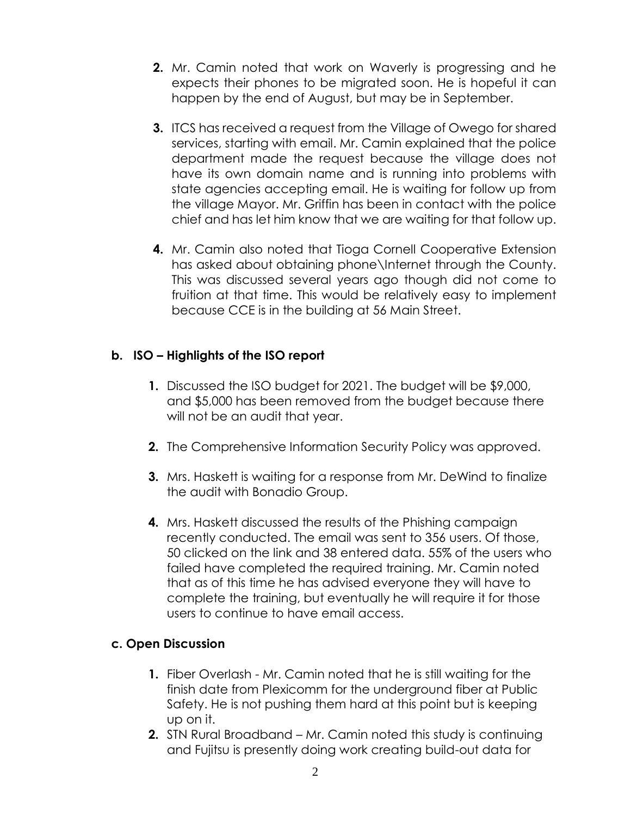- **2.** Mr. Camin noted that work on Waverly is progressing and he expects their phones to be migrated soon. He is hopeful it can happen by the end of August, but may be in September.
- **3.** ITCS has received a request from the Village of Owego for shared services, starting with email. Mr. Camin explained that the police department made the request because the village does not have its own domain name and is running into problems with state agencies accepting email. He is waiting for follow up from the village Mayor. Mr. Griffin has been in contact with the police chief and has let him know that we are waiting for that follow up.
- **4.** Mr. Camin also noted that Tioga Cornell Cooperative Extension has asked about obtaining phone\Internet through the County. This was discussed several years ago though did not come to fruition at that time. This would be relatively easy to implement because CCE is in the building at 56 Main Street.

# **b. ISO – Highlights of the ISO report**

- **1.** Discussed the ISO budget for 2021. The budget will be \$9,000, and \$5,000 has been removed from the budget because there will not be an audit that year.
- **2.** The Comprehensive Information Security Policy was approved.
- **3.** Mrs. Haskett is waiting for a response from Mr. DeWind to finalize the audit with Bonadio Group.
- **4.** Mrs. Haskett discussed the results of the Phishing campaign recently conducted. The email was sent to 356 users. Of those, 50 clicked on the link and 38 entered data. 55% of the users who failed have completed the required training. Mr. Camin noted that as of this time he has advised everyone they will have to complete the training, but eventually he will require it for those users to continue to have email access.

# **c. Open Discussion**

- **1.** Fiber Overlash Mr. Camin noted that he is still waiting for the finish date from Plexicomm for the underground fiber at Public Safety. He is not pushing them hard at this point but is keeping up on it.
- **2.** STN Rural Broadband Mr. Camin noted this study is continuing and Fujitsu is presently doing work creating build-out data for